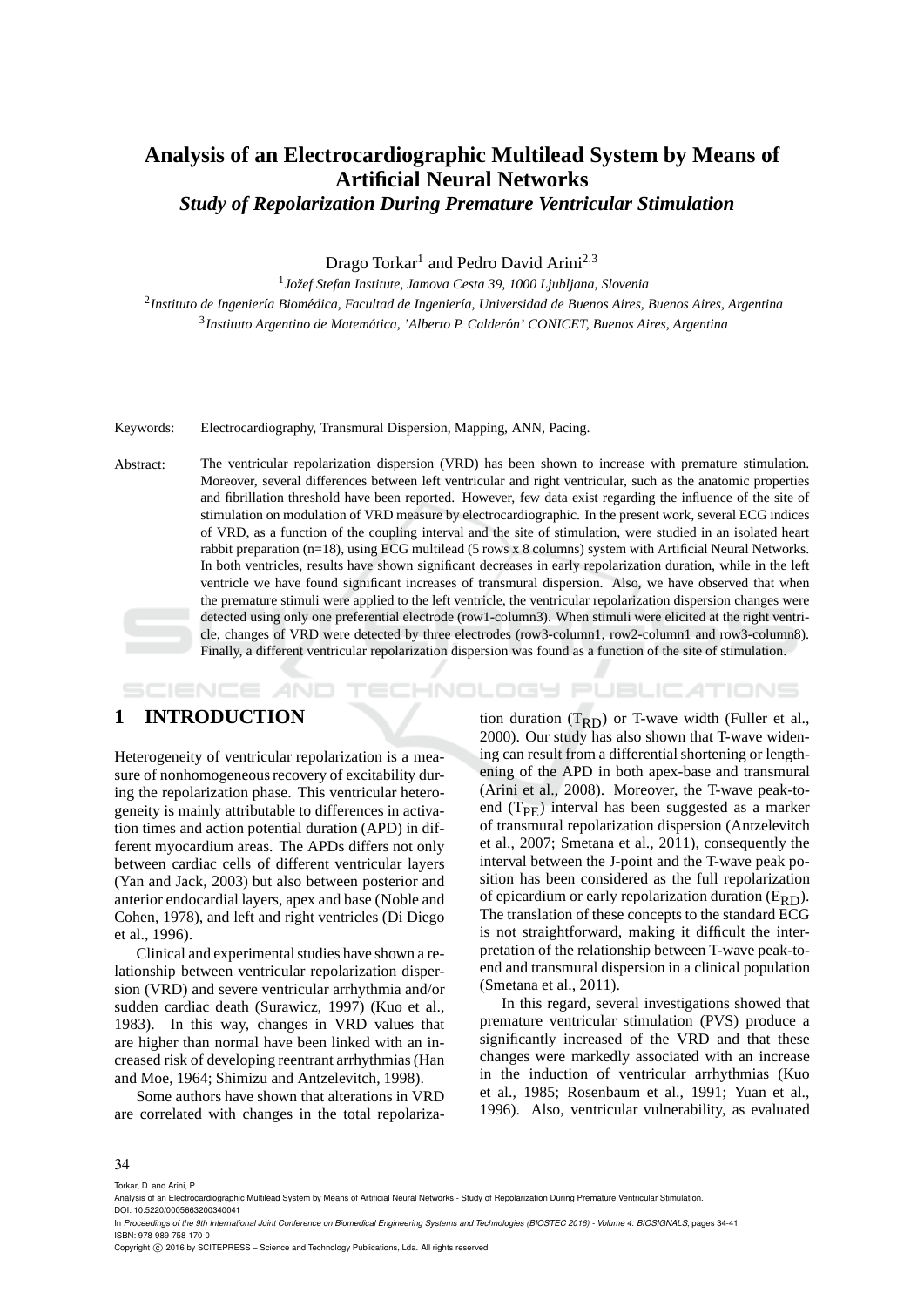## **Analysis of an Electrocardiographic Multilead System by Means of Artificial Neural Networks** *Study of Repolarization During Premature Ventricular Stimulation*

Drago Torkar<sup>1</sup> and Pedro David Arini<sup>2,3</sup>

<sup>1</sup> Jožef Stefan Institute, Jamova Cesta 39, 1000 Ljubljana, Slovenia <sup>2</sup>Instituto de Ingeniería Biomédica, Facultad de Ingeniería, Universidad de Buenos Aires, Buenos Aires, Argentina <sup>3</sup> Instituto Argentino de Matemática, 'Alberto P. Calderón' CONICET, Buenos Aires, Argentina

#### Keywords: Electrocardiography, Transmural Dispersion, Mapping, ANN, Pacing.

Abstract: The ventricular repolarization dispersion (VRD) has been shown to increase with premature stimulation. Moreover, several differences between left ventricular and right ventricular, such as the anatomic properties and fibrillation threshold have been reported. However, few data exist regarding the influence of the site of stimulation on modulation of VRD measure by electrocardiographic. In the present work, several ECG indices of VRD, as a function of the coupling interval and the site of stimulation, were studied in an isolated heart rabbit preparation (n=18), using ECG multilead (5 rows x 8 columns) system with Artificial Neural Networks. In both ventricles, results have shown significant decreases in early repolarization duration, while in the left ventricle we have found significant increases of transmural dispersion. Also, we have observed that when the premature stimuli were applied to the left ventricle, the ventricular repolarization dispersion changes were detected using only one preferential electrode (row1-column3). When stimuli were elicited at the right ventricle, changes of VRD were detected by three electrodes (row3-column1, row2-column1 and row3-column8). Finally, a different ventricular repolarization dispersion was found as a function of the site of stimulation.

#### HNOLOGY PUBLICATIONS SCIENCE *A*ND

## **1 INTRODUCTION**

Heterogeneity of ventricular repolarization is a measure of nonhomogeneous recovery of excitability during the repolarization phase. This ventricular heterogeneity is mainly attributable to differences in activation times and action potential duration (APD) in different myocardium areas. The APDs differs not only between cardiac cells of different ventricular layers (Yan and Jack, 2003) but also between posterior and anterior endocardial layers, apex and base (Noble and Cohen, 1978), and left and right ventricles (Di Diego et al., 1996).

Clinical and experimental studies have shown a relationship between ventricular repolarization dispersion (VRD) and severe ventricular arrhythmia and/or sudden cardiac death (Surawicz, 1997) (Kuo et al., 1983). In this way, changes in VRD values that are higher than normal have been linked with an increased risk of developing reentrant arrhythmias (Han and Moe, 1964; Shimizu and Antzelevitch, 1998).

Some authors have shown that alterations in VRD are correlated with changes in the total repolariza-

tion duration  $(T_{RD})$  or T-wave width (Fuller et al., 2000). Our study has also shown that T-wave widening can result from a differential shortening or lengthening of the APD in both apex-base and transmural (Arini et al., 2008). Moreover, the T-wave peak-toend  $(T_{\text{PF}})$  interval has been suggested as a marker of transmural repolarization dispersion (Antzelevitch et al., 2007; Smetana et al., 2011), consequently the interval between the J-point and the T-wave peak position has been considered as the full repolarization of epicardium or early repolarization duration  $(E_{RD})$ . The translation of these concepts to the standard ECG is not straightforward, making it difficult the interpretation of the relationship between T-wave peak-toend and transmural dispersion in a clinical population (Smetana et al., 2011).

In this regard, several investigations showed that premature ventricular stimulation (PVS) produce a significantly increased of the VRD and that these changes were markedly associated with an increase in the induction of ventricular arrhythmias (Kuo et al., 1985; Rosenbaum et al., 1991; Yuan et al., 1996). Also, ventricular vulnerability, as evaluated

#### 34

Torkar, D. and Arini, P.

DOI: 10.5220/0005663200340041 In *Proceedings of the 9th International Joint Conference on Biomedical Engineering Systems and Technologies (BIOSTEC 2016) - Volume 4: BIOSIGNALS*, pages 34-41 ISBN: 978-989-758-170-0

Analysis of an Electrocardiographic Multilead System by Means of Artificial Neural Networks - Study of Repolarization During Premature Ventricular Stimulation.

Copyright © 2016 by SCITEPRESS - Science and Technology Publications, Lda. All rights reserved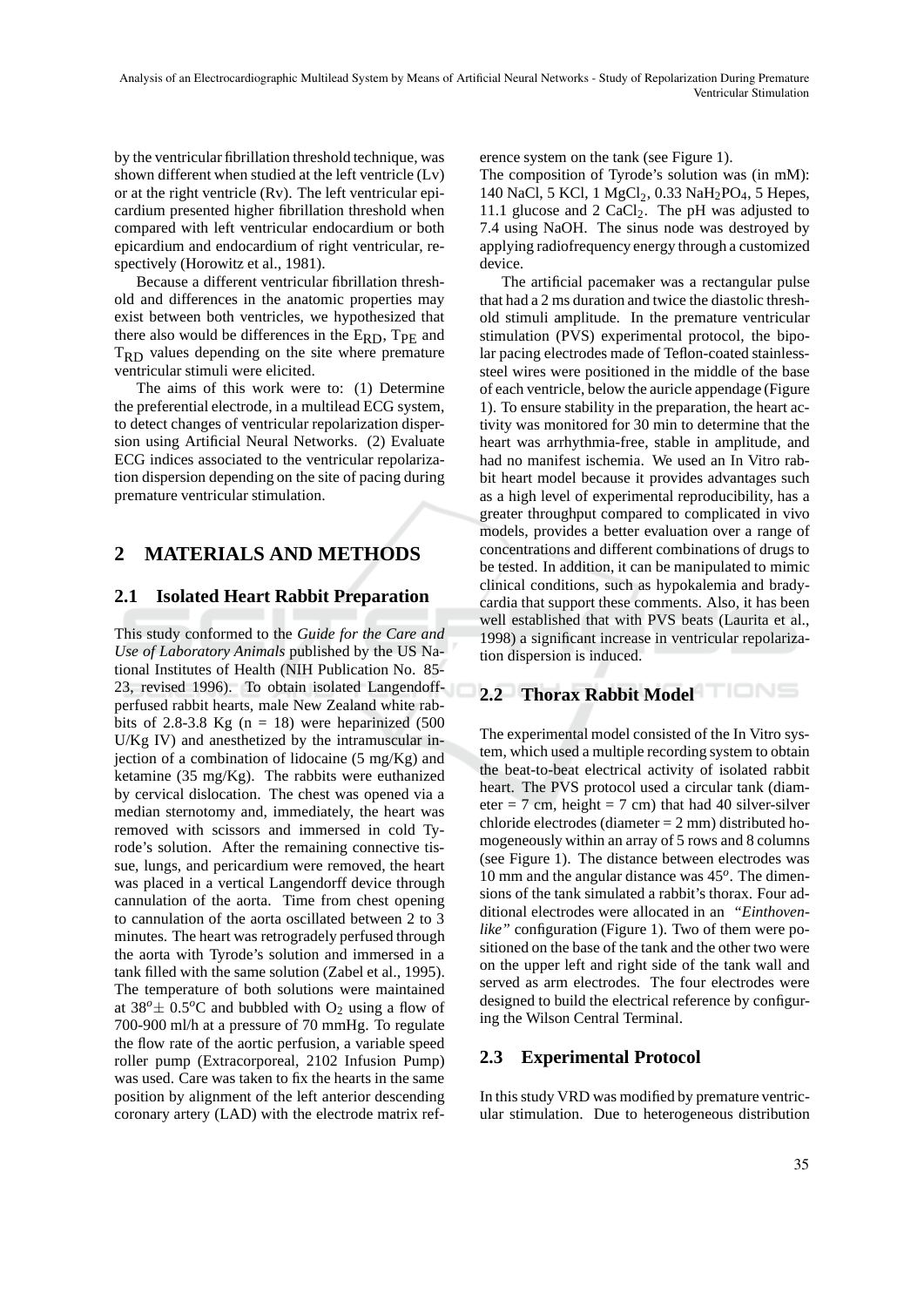by the ventricular fibrillation threshold technique, was shown different when studied at the left ventricle (Lv) or at the right ventricle (Rv). The left ventricular epicardium presented higher fibrillation threshold when compared with left ventricular endocardium or both epicardium and endocardium of right ventricular, respectively (Horowitz et al., 1981).

Because a different ventricular fibrillation threshold and differences in the anatomic properties may exist between both ventricles, we hypothesized that there also would be differences in the ERD, TPE and  $T_{RD}$  values depending on the site where premature ventricular stimuli were elicited.

The aims of this work were to: (1) Determine the preferential electrode, in a multilead ECG system, to detect changes of ventricular repolarization dispersion using Artificial Neural Networks. (2) Evaluate ECG indices associated to the ventricular repolarization dispersion depending on the site of pacing during premature ventricular stimulation.

# **2 MATERIALS AND METHODS**

## **2.1 Isolated Heart Rabbit Preparation**

This study conformed to the *Guide for the Care and Use of Laboratory Animals* published by the US National Institutes of Health (NIH Publication No. 85- 23, revised 1996). To obtain isolated Langendoffperfused rabbit hearts, male New Zealand white rabbits of 2.8-3.8 Kg  $(n = 18)$  were heparinized (500) U/Kg IV) and anesthetized by the intramuscular injection of a combination of lidocaine  $(5 \text{ mg/Kg})$  and ketamine (35 mg/Kg). The rabbits were euthanized by cervical dislocation. The chest was opened via a median sternotomy and, immediately, the heart was removed with scissors and immersed in cold Tyrode's solution. After the remaining connective tissue, lungs, and pericardium were removed, the heart was placed in a vertical Langendorff device through cannulation of the aorta. Time from chest opening to cannulation of the aorta oscillated between 2 to 3 minutes. The heart was retrogradely perfused through the aorta with Tyrode's solution and immersed in a tank filled with the same solution (Zabel et al., 1995). The temperature of both solutions were maintained at  $38^o \pm 0.5^o$ C and bubbled with O<sub>2</sub> using a flow of 700-900 ml/h at a pressure of 70 mmHg. To regulate the flow rate of the aortic perfusion, a variable speed roller pump (Extracorporeal, 2102 Infusion Pump) was used. Care was taken to fix the hearts in the same position by alignment of the left anterior descending coronary artery (LAD) with the electrode matrix reference system on the tank (see Figure 1).

The composition of Tyrode's solution was (in mM): 140 NaCl, 5 KCl, 1  $MgCl_2$ , 0.33 NaH<sub>2</sub>PO<sub>4</sub>, 5 Hepes, 11.1 glucose and 2  $CaCl<sub>2</sub>$ . The pH was adjusted to 7.4 using NaOH. The sinus node was destroyed by applying radiofrequency energy through a customized device.

The artificial pacemaker was a rectangular pulse that had a 2 ms duration and twice the diastolic threshold stimuli amplitude. In the premature ventricular stimulation (PVS) experimental protocol, the bipolar pacing electrodes made of Teflon-coated stainlesssteel wires were positioned in the middle of the base of each ventricle, below the auricle appendage (Figure 1). To ensure stability in the preparation, the heart activity was monitored for 30 min to determine that the heart was arrhythmia-free, stable in amplitude, and had no manifest ischemia. We used an In Vitro rabbit heart model because it provides advantages such as a high level of experimental reproducibility, has a greater throughput compared to complicated in vivo models, provides a better evaluation over a range of concentrations and different combinations of drugs to be tested. In addition, it can be manipulated to mimic clinical conditions, such as hypokalemia and bradycardia that support these comments. Also, it has been well established that with PVS beats (Laurita et al., 1998) a significant increase in ventricular repolarization dispersion is induced.

## **2.2 Thorax Rabbit Model**

The experimental model consisted of the In Vitro system, which used a multiple recording system to obtain the beat-to-beat electrical activity of isolated rabbit heart. The PVS protocol used a circular tank (diameter = 7 cm, height = 7 cm) that had 40 silver-silver chloride electrodes (diameter = 2 mm) distributed homogeneously within an array of 5 rows and 8 columns (see Figure 1). The distance between electrodes was 10 mm and the angular distance was 45*<sup>o</sup>* . The dimensions of the tank simulated a rabbit's thorax. Four additional electrodes were allocated in an *"Einthovenlike"* configuration (Figure 1). Two of them were positioned on the base of the tank and the other two were on the upper left and right side of the tank wall and served as arm electrodes. The four electrodes were designed to build the electrical reference by configuring the Wilson Central Terminal.

## **2.3 Experimental Protocol**

In this study VRD was modified by premature ventricular stimulation. Due to heterogeneous distribution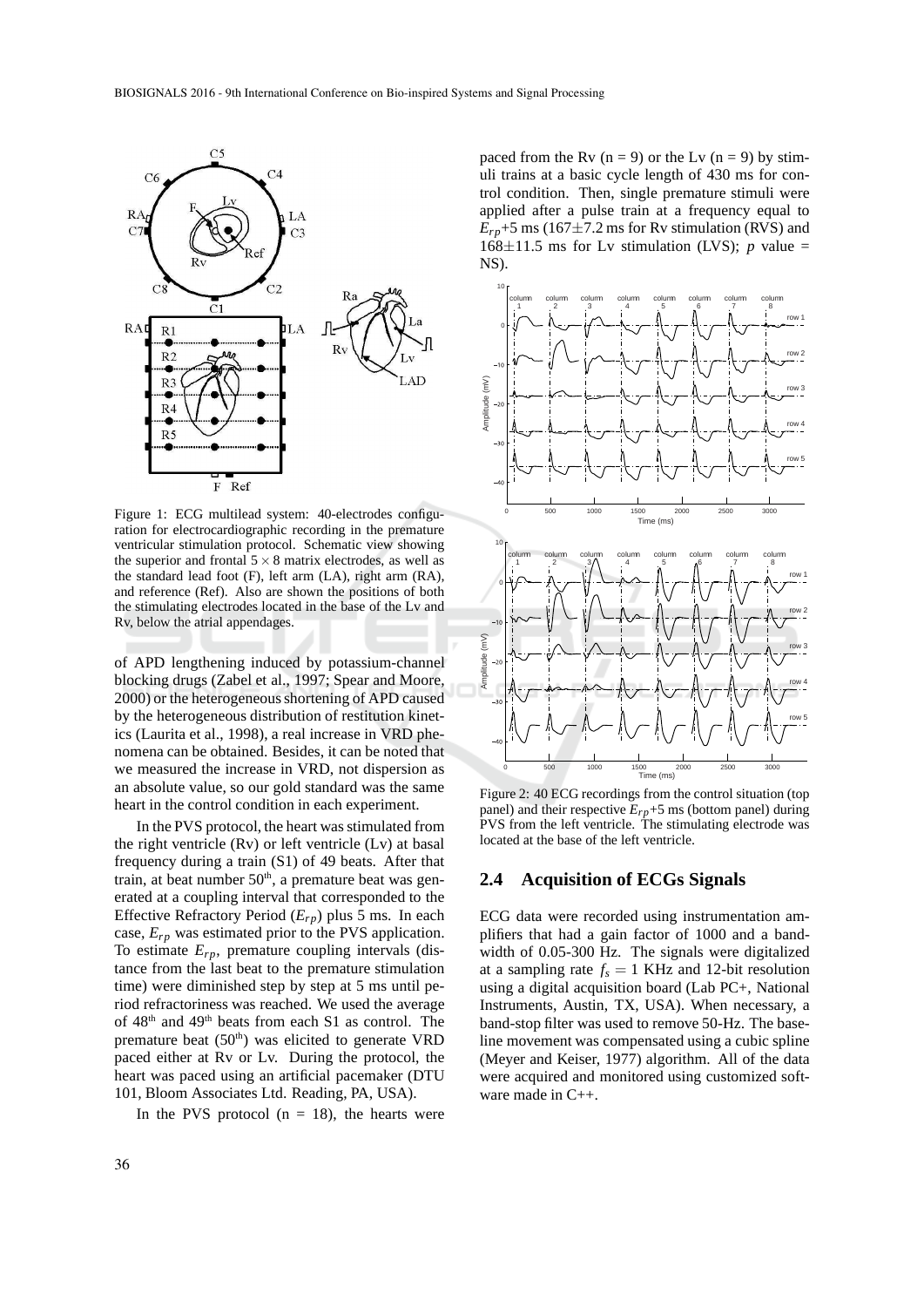

Figure 1: ECG multilead system: 40-electrodes configuration for electrocardiographic recording in the premature ventricular stimulation protocol. Schematic view showing the superior and frontal  $5 \times 8$  matrix electrodes, as well as the standard lead foot (F), left arm (LA), right arm (RA), and reference (Ref). Also are shown the positions of both the stimulating electrodes located in the base of the Lv and Rv, below the atrial appendages.

of APD lengthening induced by potassium-channel blocking drugs (Zabel et al., 1997; Spear and Moore, 2000) or the heterogeneous shortening of APD caused by the heterogeneous distribution of restitution kinetics (Laurita et al., 1998), a real increase in VRD phenomena can be obtained. Besides, it can be noted that we measured the increase in VRD, not dispersion as an absolute value, so our gold standard was the same heart in the control condition in each experiment.

In the PVS protocol, the heart was stimulated from the right ventricle (Rv) or left ventricle (Lv) at basal frequency during a train (S1) of 49 beats. After that train, at beat number  $50<sup>th</sup>$ , a premature beat was generated at a coupling interval that corresponded to the Effective Refractory Period (*Erp*) plus 5 ms. In each case, *Erp* was estimated prior to the PVS application. To estimate *Erp*, premature coupling intervals (distance from the last beat to the premature stimulation time) were diminished step by step at 5 ms until period refractoriness was reached. We used the average of 48<sup>th</sup> and 49<sup>th</sup> beats from each S1 as control. The premature beat  $(50<sup>th</sup>)$  was elicited to generate VRD paced either at Rv or Lv. During the protocol, the heart was paced using an artificial pacemaker (DTU 101, Bloom Associates Ltd. Reading, PA, USA).

In the PVS protocol  $(n = 18)$ , the hearts were

paced from the Rv  $(n = 9)$  or the Lv  $(n = 9)$  by stimuli trains at a basic cycle length of 430 ms for control condition. Then, single premature stimuli were applied after a pulse train at a frequency equal to  $E_{rp}$ +5 ms (167 $\pm$ 7.2 ms for Rv stimulation (RVS) and  $168 \pm 11.5$  ms for Lv stimulation (LVS); *p* value = NS).



Figure 2: 40 ECG recordings from the control situation (top panel) and their respective *Erp*+5 ms (bottom panel) during PVS from the left ventricle. The stimulating electrode was located at the base of the left ventricle.

#### **2.4 Acquisition of ECGs Signals**

ECG data were recorded using instrumentation amplifiers that had a gain factor of 1000 and a bandwidth of 0.05-300 Hz. The signals were digitalized at a sampling rate  $f_s = 1$  KHz and 12-bit resolution using a digital acquisition board (Lab PC+, National Instruments, Austin, TX, USA). When necessary, a band-stop filter was used to remove 50-Hz. The baseline movement was compensated using a cubic spline (Meyer and Keiser, 1977) algorithm. All of the data were acquired and monitored using customized software made in C++.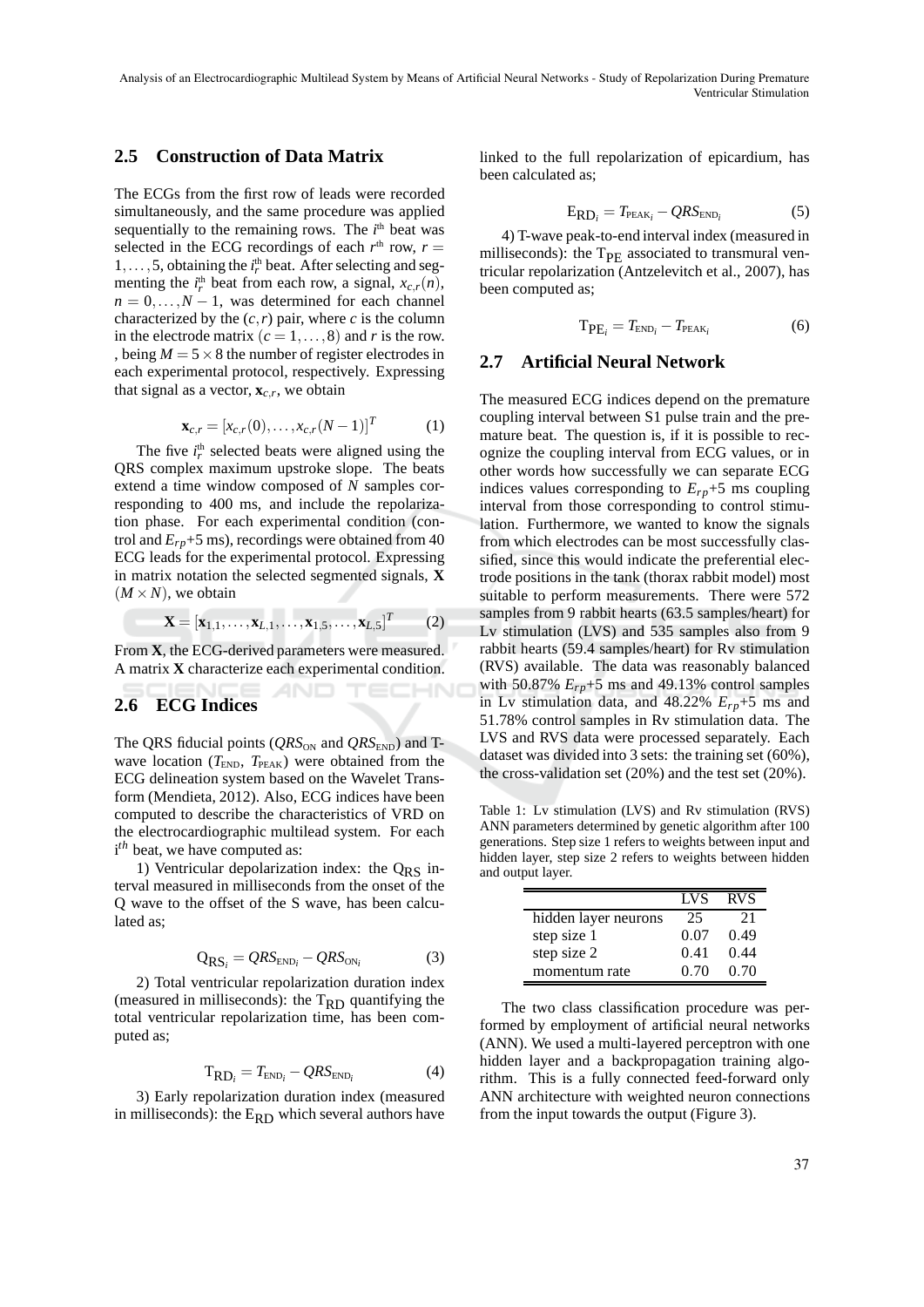Analysis of an Electrocardiographic Multilead System by Means of Artificial Neural Networks - Study of Repolarization During Premature Ventricular Stimulation

#### **2.5 Construction of Data Matrix**

The ECGs from the first row of leads were recorded simultaneously, and the same procedure was applied sequentially to the remaining rows. The  $i<sup>th</sup>$  beat was selected in the ECG recordings of each  $r<sup>th</sup>$  row,  $r =$  $1, \ldots, 5$ , obtaining the  $i_r^{\text{th}}$  beat. After selecting and segmenting the  $i_r^{\text{th}}$  beat from each row, a signal,  $x_{c,r}(n)$ ,  $n = 0, \ldots, N - 1$ , was determined for each channel characterized by the  $(c, r)$  pair, where *c* is the column in the electrode matrix  $(c = 1, \ldots, 8)$  and *r* is the row. , being  $M = 5 \times 8$  the number of register electrodes in each experimental protocol, respectively. Expressing that signal as a vector,  $\mathbf{x}_{c,r}$ , we obtain

$$
\mathbf{x}_{c,r} = [x_{c,r}(0), \dots, x_{c,r}(N-1)]^T
$$
 (1)

The five  $i_r^{\text{th}}$  selected beats were aligned using the QRS complex maximum upstroke slope. The beats extend a time window composed of *N* samples corresponding to 400 ms, and include the repolarization phase. For each experimental condition (control and *Erp*+5 ms), recordings were obtained from 40 ECG leads for the experimental protocol. Expressing in matrix notation the selected segmented signals, **X**  $(M \times N)$ , we obtain

$$
\mathbf{X} = [\mathbf{x}_{1,1}, \dots, \mathbf{x}_{L,1}, \dots, \mathbf{x}_{1,5}, \dots, \mathbf{x}_{L,5}]^T
$$
(2)

From **X**, the ECG-derived parameters were measured. A matrix **X** characterize each experimental condition.

#### **2.6 ECG Indices**

The QRS fiducial points ( $QRS_{ON}$  and  $QRS_{END}$ ) and Twave location  $(T_{END}, T_{PER})$  were obtained from the ECG delineation system based on the Wavelet Transform (Mendieta, 2012). Also, ECG indices have been computed to describe the characteristics of VRD on the electrocardiographic multilead system. For each *i<sup>th</sup>* beat, we have computed as:

1) Ventricular depolarization index: the  $Q_{RS}$  interval measured in milliseconds from the onset of the Q wave to the offset of the S wave, has been calculated as;

$$
Q_{RS_i} = QRS_{END_i} - QRS_{ON_i}
$$
 (3)

2) Total ventricular repolarization duration index (measured in milliseconds): the  $T_{\rm RD}$  quantifying the total ventricular repolarization time, has been computed as;

$$
T_{RD_i} = T_{END_i} - QRS_{END_i}
$$
 (4)

3) Early repolarization duration index (measured in milliseconds): the  $E_{RD}$  which several authors have linked to the full repolarization of epicardium, has been calculated as;

$$
E_{RD_i} = T_{PEAK_i} - QRS_{END_i}
$$
 (5)

4) T-wave peak-to-end interval index (measured in milliseconds): the  $T_{PE}$  associated to transmural ventricular repolarization (Antzelevitch et al., 2007), has been computed as;

$$
T_{PE_i} = T_{END_i} - T_{PEAK_i}
$$
 (6)

#### **2.7 Artificial Neural Network**

The measured ECG indices depend on the premature coupling interval between S1 pulse train and the premature beat. The question is, if it is possible to recognize the coupling interval from ECG values, or in other words how successfully we can separate ECG indices values corresponding to  $E_{rp}+5$  ms coupling interval from those corresponding to control stimulation. Furthermore, we wanted to know the signals from which electrodes can be most successfully classified, since this would indicate the preferential electrode positions in the tank (thorax rabbit model) most suitable to perform measurements. There were 572 samples from 9 rabbit hearts (63.5 samples/heart) for Lv stimulation (LVS) and 535 samples also from 9 rabbit hearts (59.4 samples/heart) for Rv stimulation (RVS) available. The data was reasonably balanced with 50.87%  $E_{rp}$ +5 ms and 49.13% control samples in Lv stimulation data, and  $48.22\%$   $E_{rp}+5$  ms and 51.78% control samples in Rv stimulation data. The LVS and RVS data were processed separately. Each dataset was divided into 3 sets: the training set (60%), the cross-validation set (20%) and the test set (20%).

Table 1: Lv stimulation (LVS) and Rv stimulation (RVS) ANN parameters determined by genetic algorithm after 100 generations. Step size 1 refers to weights between input and hidden layer, step size 2 refers to weights between hidden and output layer.

|                      | <b>LVS</b> | <b>RVS</b> |
|----------------------|------------|------------|
| hidden layer neurons | 25         | 21         |
| step size 1          | 0.07       | 0.49       |
| step size 2          | 0.41       | 0.44       |
| momentum rate        | 0.70       | 0.70       |

The two class classification procedure was performed by employment of artificial neural networks (ANN). We used a multi-layered perceptron with one hidden layer and a backpropagation training algorithm. This is a fully connected feed-forward only ANN architecture with weighted neuron connections from the input towards the output (Figure 3).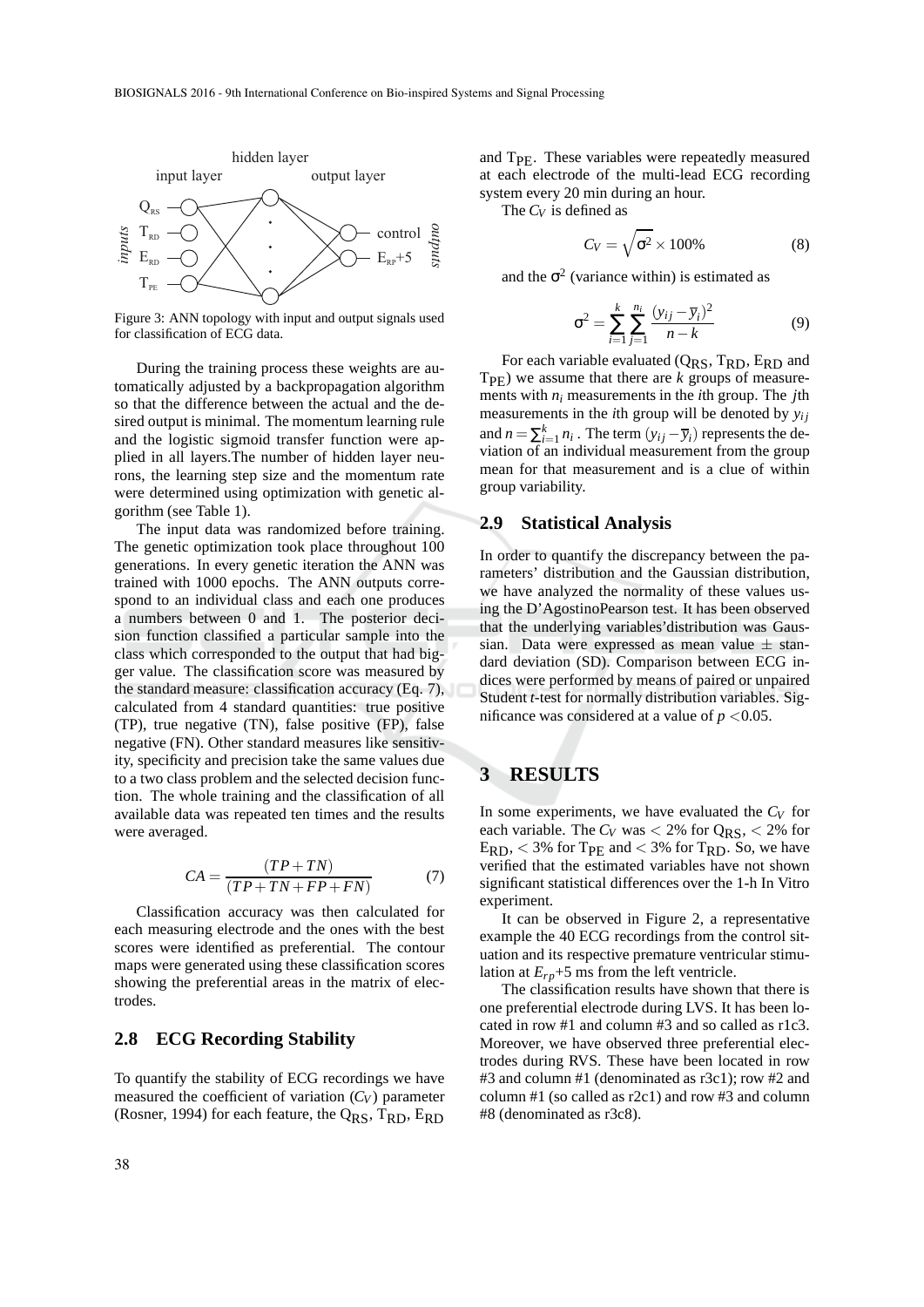

Figure 3: ANN topology with input and output signals used for classification of ECG data.

During the training process these weights are automatically adjusted by a backpropagation algorithm so that the difference between the actual and the desired output is minimal. The momentum learning rule and the logistic sigmoid transfer function were applied in all layers.The number of hidden layer neurons, the learning step size and the momentum rate were determined using optimization with genetic algorithm (see Table 1).

The input data was randomized before training. The genetic optimization took place throughout 100 generations. In every genetic iteration the ANN was trained with 1000 epochs. The ANN outputs correspond to an individual class and each one produces a numbers between 0 and 1. The posterior decision function classified a particular sample into the class which corresponded to the output that had bigger value. The classification score was measured by the standard measure: classification accuracy (Eq. 7), calculated from 4 standard quantities: true positive (TP), true negative (TN), false positive (FP), false negative (FN). Other standard measures like sensitivity, specificity and precision take the same values due to a two class problem and the selected decision function. The whole training and the classification of all available data was repeated ten times and the results were averaged.

$$
CA = \frac{(TP + TN)}{(TP + TN + FP + FN)}
$$
(7)

Classification accuracy was then calculated for each measuring electrode and the ones with the best scores were identified as preferential. The contour maps were generated using these classification scores showing the preferential areas in the matrix of electrodes.

#### **2.8 ECG Recording Stability**

To quantify the stability of ECG recordings we have measured the coefficient of variation  $(C_V)$  parameter (Rosner, 1994) for each feature, the  $Q_{RS}$ ,  $T_{RD}$ ,  $E_{RD}$ 

and T<sub>PE</sub>. These variables were repeatedly measured at each electrode of the multi-lead ECG recording system every 20 min during an hour.

The *C<sup>V</sup>* is defined as

$$
C_V = \sqrt{\sigma^2} \times 100\% \tag{8}
$$

and the  $\sigma^2$  (variance within) is estimated as

$$
\sigma^2 = \sum_{i=1}^k \sum_{j=1}^{n_i} \frac{(y_{ij} - \overline{y}_i)^2}{n - k}
$$
(9)

For each variable evaluated  $(Q_{RS}, T_{RD}, E_{RD})$  and  $T_{\text{PF}}$ ) we assume that there are *k* groups of measurements with *n<sup>i</sup>* measurements in the *i*th group. The *j*th measurements in the *i*th group will be denoted by  $y_{ij}$ and  $n = \sum_{i=1}^{k} n_i$ . The term  $(y_{ij} - \overline{y}_i)$  represents the deviation of an individual measurement from the group mean for that measurement and is a clue of within group variability.

#### **2.9 Statistical Analysis**

In order to quantify the discrepancy between the parameters' distribution and the Gaussian distribution, we have analyzed the normality of these values using the D'AgostinoPearson test. It has been observed that the underlying variables'distribution was Gaussian. Data were expressed as mean value  $\pm$  standard deviation (SD). Comparison between ECG indices were performed by means of paired or unpaired Student *t*-test for normally distribution variables. Significance was considered at a value of  $p < 0.05$ .

# **3 RESULTS**

In some experiments, we have evaluated the *C<sup>V</sup>* for each variable. The  $C_V$  was  $\lt$  2% for  $Q_{RS}$ ,  $\lt$  2% for  $E_{RD}$ , < 3% for T<sub>PE</sub> and < 3% for T<sub>RD</sub>. So, we have verified that the estimated variables have not shown significant statistical differences over the 1-h In Vitro experiment.

It can be observed in Figure 2, a representative example the 40 ECG recordings from the control situation and its respective premature ventricular stimulation at  $E_{rp}$ +5 ms from the left ventricle.

The classification results have shown that there is one preferential electrode during LVS. It has been located in row #1 and column #3 and so called as r1c3. Moreover, we have observed three preferential electrodes during RVS. These have been located in row #3 and column #1 (denominated as r3c1); row #2 and column #1 (so called as r2c1) and row #3 and column #8 (denominated as r3c8).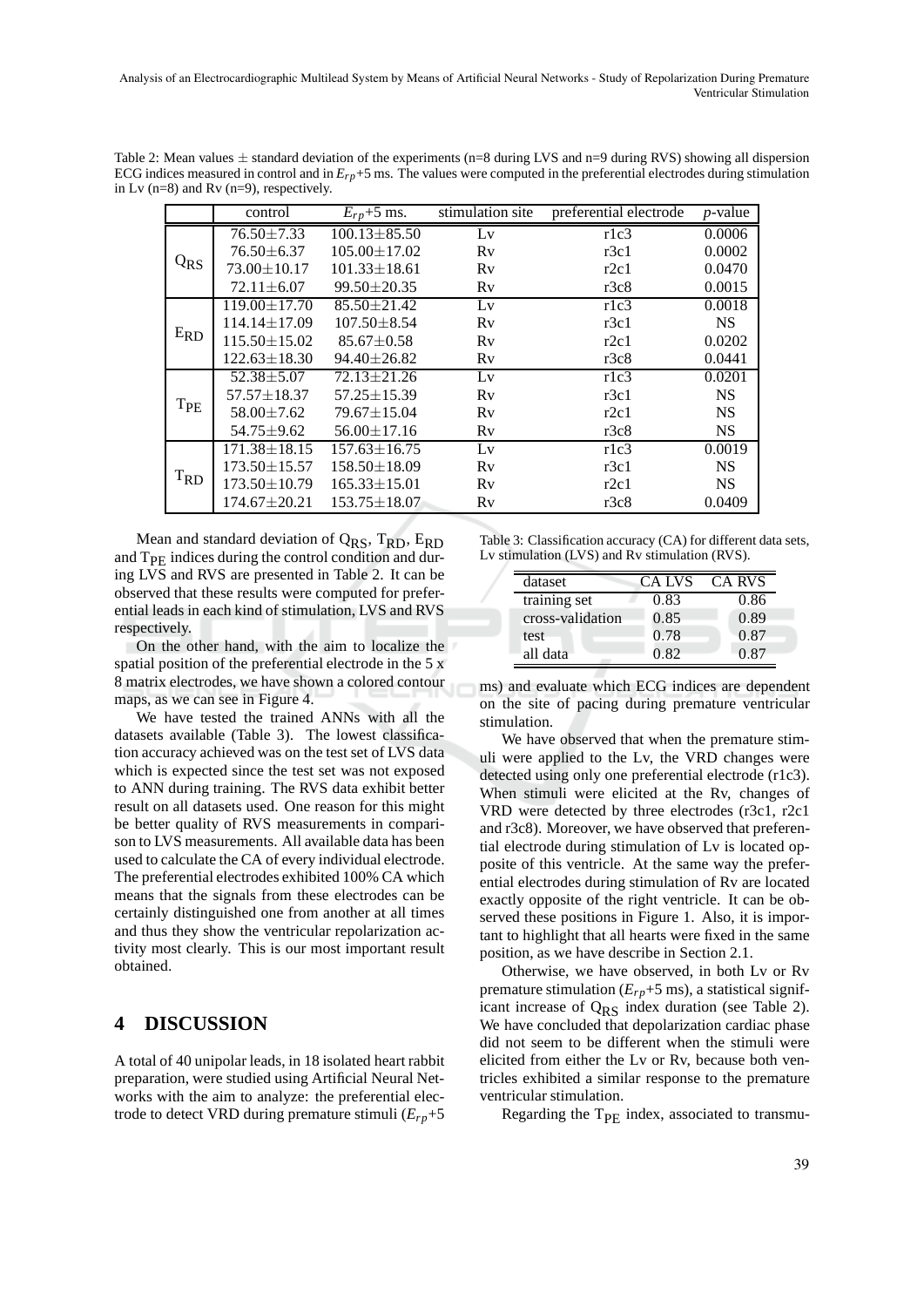Analysis of an Electrocardiographic Multilead System by Means of Artificial Neural Networks - Study of Repolarization During Premature Ventricular Stimulation

Table 2: Mean values  $\pm$  standard deviation of the experiments (n=8 during LVS and n=9 during RVS) showing all dispersion ECG indices measured in control and in *Erp*+5 ms. The values were computed in the preferential electrodes during stimulation in Lv (n=8) and Rv (n=9), respectively.

|          | control            | $E_{rp}$ +5 ms.    | stimulation site | preferential electrode | $p$ -value |
|----------|--------------------|--------------------|------------------|------------------------|------------|
| $Q_{RS}$ | $76.50 \pm 7.33$   | $100.13 \pm 85.50$ | Lv               | r1c3                   | 0.0006     |
|          | $76.50 \pm 6.37$   | $105.00 \pm 17.02$ | Rv               | r3c1                   | 0.0002     |
|          | $73.00 \pm 10.17$  | $101.33 + 18.61$   | Rv               | r2c1                   | 0.0470     |
|          | $72.11 \pm 6.07$   | $99.50 \pm 20.35$  | Rv               | r3c8                   | 0.0015     |
| $E_{RD}$ | $119.00 \pm 17.70$ | $85.50 + 21.42$    | Lv               | r1c3                   | 0.0018     |
|          | $114.14 \pm 17.09$ | $107.50 \pm 8.54$  | Rv               | r3c1                   | <b>NS</b>  |
|          | $115.50 \pm 15.02$ | $85.67 \pm 0.58$   | Rv               | r2c1                   | 0.0202     |
|          | $122.63 \pm 18.30$ | $94.40 \pm 26.82$  | Rv               | r3c8                   | 0.0441     |
| $T_{PE}$ | $52.38 + 5.07$     | $72.13 + 21.26$    | Lv               | r1c3                   | 0.0201     |
|          | $57.57 \pm 18.37$  | $57.25 \pm 15.39$  | Rv               | r3c1                   | <b>NS</b>  |
|          | $58.00 \pm 7.62$   | 79.67±15.04        | Rv               | r2c1                   | <b>NS</b>  |
|          | $54.75 \pm 9.62$   | $56.00 \pm 17.16$  | Rv               | r3c8                   | <b>NS</b>  |
| $T_{RD}$ | $171.38 \pm 18.15$ | $157.63 \pm 16.75$ | Lv               | r1c3                   | 0.0019     |
|          | $173.50 \pm 15.57$ | $158.50 \pm 18.09$ | Rv               | r3c1                   | <b>NS</b>  |
|          | $173.50 \pm 10.79$ | $165.33 \pm 15.01$ | Rv               | r2c1                   | <b>NS</b>  |
|          | $174.67 \pm 20.21$ | $153.75 \pm 18.07$ | Rv               | r3c8                   | 0.0409     |

Mean and standard deviation of  $Q_{RS}$ ,  $T_{RD}$ ,  $E_{RD}$ and T<sub>PE</sub> indices during the control condition and during LVS and RVS are presented in Table 2. It can be observed that these results were computed for preferential leads in each kind of stimulation, LVS and RVS respectively.

On the other hand, with the aim to localize the spatial position of the preferential electrode in the 5 x 8 matrix electrodes, we have shown a colored contour maps, as we can see in Figure 4.

We have tested the trained ANNs with all the datasets available (Table 3). The lowest classification accuracy achieved was on the test set of LVS data which is expected since the test set was not exposed to ANN during training. The RVS data exhibit better result on all datasets used. One reason for this might be better quality of RVS measurements in comparison to LVS measurements. All available data has been used to calculate the CA of every individual electrode. The preferential electrodes exhibited 100% CA which means that the signals from these electrodes can be certainly distinguished one from another at all times and thus they show the ventricular repolarization activity most clearly. This is our most important result obtained.

#### **4 DISCUSSION**

A total of 40 unipolar leads, in 18 isolated heart rabbit preparation, were studied using Artificial Neural Networks with the aim to analyze: the preferential electrode to detect VRD during premature stimuli (*Erp*+5

Table 3: Classification accuracy (CA) for different data sets, Lv stimulation (LVS) and Rv stimulation (RVS).

| dataset          | CA LVS | CA RVS |
|------------------|--------|--------|
| training set     | 0.83   | 0.86   |
| cross-validation | 0.85   | 0.89   |
| test             | 0.78   | 0.87   |
| all data         | 0.82   | 0.87   |

ms) and evaluate which ECG indices are dependent on the site of pacing during premature ventricular stimulation.

We have observed that when the premature stimuli were applied to the Lv, the VRD changes were detected using only one preferential electrode (r1c3). When stimuli were elicited at the Rv, changes of VRD were detected by three electrodes (r3c1, r2c1 and r3c8). Moreover, we have observed that preferential electrode during stimulation of Lv is located opposite of this ventricle. At the same way the preferential electrodes during stimulation of Rv are located exactly opposite of the right ventricle. It can be observed these positions in Figure 1. Also, it is important to highlight that all hearts were fixed in the same position, as we have describe in Section 2.1.

Otherwise, we have observed, in both Lv or Rv premature stimulation  $(E_{rp}+5 \text{ ms})$ , a statistical significant increase of  $Q_{RS}$  index duration (see Table 2). We have concluded that depolarization cardiac phase did not seem to be different when the stimuli were elicited from either the Lv or Rv, because both ventricles exhibited a similar response to the premature ventricular stimulation.

Regarding the T<sub>PE</sub> index, associated to transmu-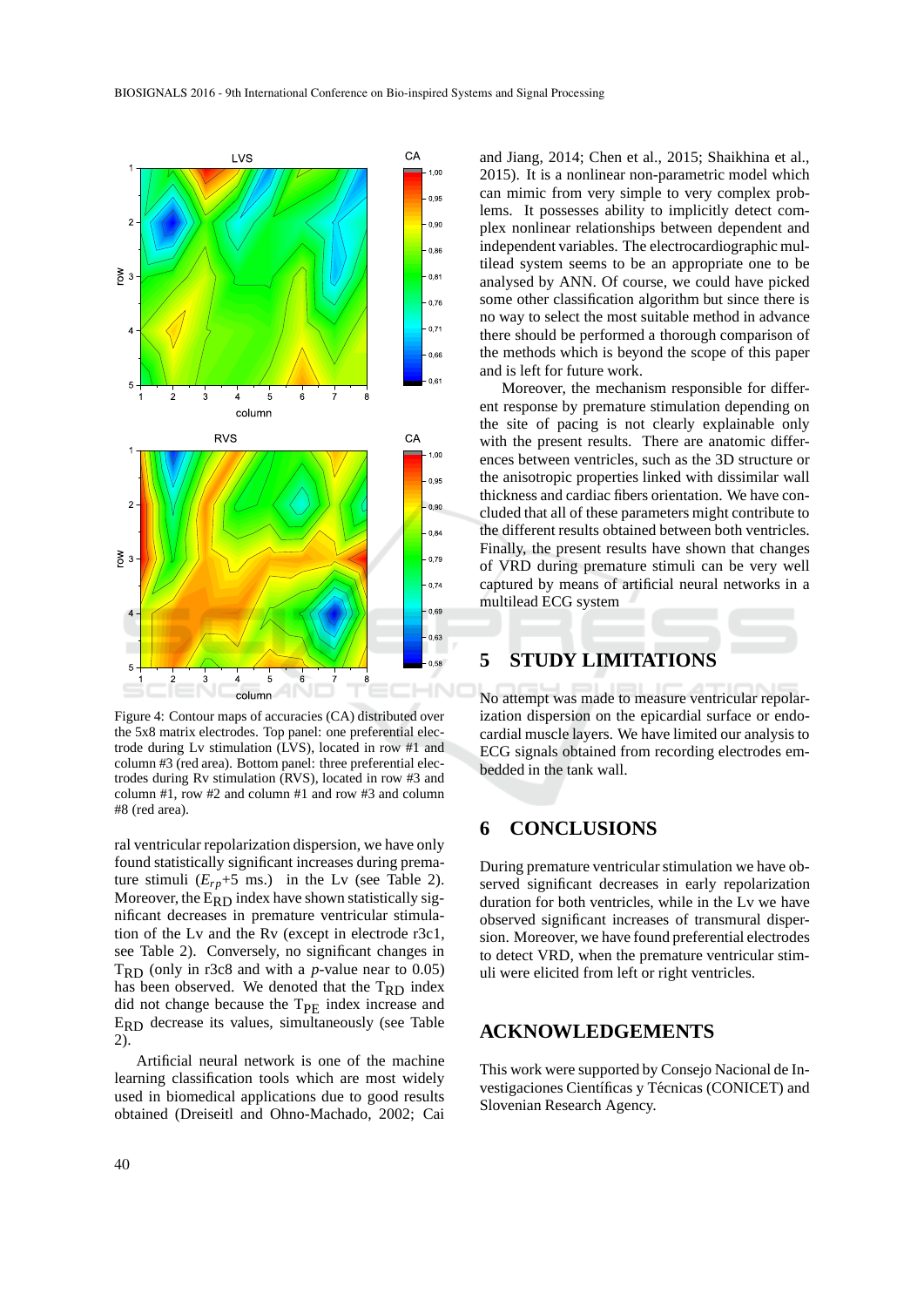

Figure 4: Contour maps of accuracies (CA) distributed over the 5x8 matrix electrodes. Top panel: one preferential electrode during Lv stimulation (LVS), located in row #1 and column #3 (red area). Bottom panel: three preferential electrodes during Rv stimulation (RVS), located in row #3 and column #1, row #2 and column #1 and row #3 and column #8 (red area).

ral ventricular repolarization dispersion, we have only found statistically significant increases during premature stimuli  $(E_{rp}+5$  ms.) in the Lv (see Table 2). Moreover, the  $E_{RD}$  index have shown statistically significant decreases in premature ventricular stimulation of the Lv and the Rv (except in electrode r3c1, see Table 2). Conversely, no significant changes in  $T_{RD}$  (only in r3c8 and with a *p*-value near to 0.05) has been observed. We denoted that the  $T_{RD}$  index did not change because the  $T_{\text{PE}}$  index increase and  $E_{\rm RD}$  decrease its values, simultaneously (see Table 2).

Artificial neural network is one of the machine learning classification tools which are most widely used in biomedical applications due to good results obtained (Dreiseitl and Ohno-Machado, 2002; Cai

and Jiang, 2014; Chen et al., 2015; Shaikhina et al., 2015). It is a nonlinear non-parametric model which can mimic from very simple to very complex problems. It possesses ability to implicitly detect complex nonlinear relationships between dependent and independent variables. The electrocardiographic multilead system seems to be an appropriate one to be analysed by ANN. Of course, we could have picked some other classification algorithm but since there is no way to select the most suitable method in advance there should be performed a thorough comparison of the methods which is beyond the scope of this paper and is left for future work.

Moreover, the mechanism responsible for different response by premature stimulation depending on the site of pacing is not clearly explainable only with the present results. There are anatomic differences between ventricles, such as the 3D structure or the anisotropic properties linked with dissimilar wall thickness and cardiac fibers orientation. We have concluded that all of these parameters might contribute to the different results obtained between both ventricles. Finally, the present results have shown that changes of VRD during premature stimuli can be very well captured by means of artificial neural networks in a multilead ECG system

### **5 STUDY LIMITATIONS**

No attempt was made to measure ventricular repolarization dispersion on the epicardial surface or endocardial muscle layers. We have limited our analysis to ECG signals obtained from recording electrodes embedded in the tank wall.

## **6 CONCLUSIONS**

During premature ventricular stimulation we have observed significant decreases in early repolarization duration for both ventricles, while in the Lv we have observed significant increases of transmural dispersion. Moreover, we have found preferential electrodes to detect VRD, when the premature ventricular stimuli were elicited from left or right ventricles.

### **ACKNOWLEDGEMENTS**

This work were supported by Consejo Nacional de Investigaciones Científicas y Técnicas (CONICET) and Slovenian Research Agency.